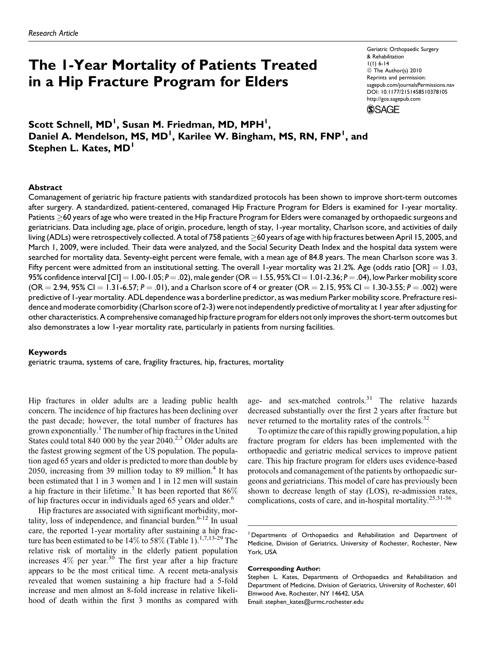# The 1-Year Mortality of Patients Treated in a Hip Fracture Program for Elders

Geriatric Orthopaedic Surgery & Rehabilitation 1(1) 6-14 © The Author(s) 2010 Reprints and permission: sagepub.com/journalsPermissions.nav DOI: 10.1177/2151458510378105 http://gos.sagepub.com **SSAGE** 

Scott Schnell, MD<sup>I</sup>, Susan M. Friedman, MD, MPH<sup>I</sup>, Daniel A. Mendelson, MS, MD<sup>1</sup>, Karilee W. Bingham, MS, RN, FNP<sup>1</sup>, and Stephen L. Kates, MD<sup>1</sup>

## Abstract

Comanagement of geriatric hip fracture patients with standardized protocols has been shown to improve short-term outcomes after surgery. A standardized, patient-centered, comanaged Hip Fracture Program for Elders is examined for 1-year mortality. Patients  $\geq$ 60 years of age who were treated in the Hip Fracture Program for Elders were comanaged by orthopaedic surgeons and geriatricians. Data including age, place of origin, procedure, length of stay, 1-year mortality, Charlson score, and activities of daily living (ADLs) were retrospectively collected. A total of 758 patients  $\geq$ 60 years of age with hip fractures between April 15, 2005, and March 1, 2009, were included. Their data were analyzed, and the Social Security Death Index and the hospital data system were searched for mortality data. Seventy-eight percent were female, with a mean age of 84.8 years. The mean Charlson score was 3. Fifty percent were admitted from an institutional setting. The overall 1-year mortality was 21.2%. Age (odds ratio  $[OR] = 1.03$ , 95% confidence interval  $[CI] = 1.00 - 1.05; P = .02$ ), male gender (OR = 1.55, 95% CI = 1.01-2.36; P = .04), low Parker mobility score  $(OR = 2.94, 95\% CI = 1.31 - 6.57; P = .01)$ , and a Charlson score of 4 or greater  $(OR = 2.15, 95\% CI = 1.30 - 3.55; P = .002)$  were predictive of 1-year mortality. ADL dependence was a borderline predictor, as was medium Parker mobility score. Prefracture residence and moderate comorbidity (Charlson score of 2-3) were not independently predictive of mortality at 1 year after adjusting for other characteristics. A comprehensive comanaged hip fracture program for elders not only improves the short-term outcomes but also demonstrates a low 1-year mortality rate, particularly in patients from nursing facilities.

#### Keywords

geriatric trauma, systems of care, fragility fractures, hip, fractures, mortality

Hip fractures in older adults are a leading public health concern. The incidence of hip fractures has been declining over the past decade; however, the total number of fractures has grown exponentially.<sup>1</sup> The number of hip fractures in the United States could total 840 000 by the year  $2040.<sup>2,3</sup>$  Older adults are the fastest growing segment of the US population. The population aged 65 years and older is predicted to more than double by 2050, increasing from 39 million today to 89 million. $4$  It has been estimated that 1 in 3 women and 1 in 12 men will sustain a hip fracture in their lifetime.<sup>5</sup> It has been reported that  $86\%$ of hip fractures occur in individuals aged 65 years and older.<sup>6</sup>

Hip fractures are associated with significant morbidity, mortality, loss of independence, and financial burden. $6-12$  In usual care, the reported 1-year mortality after sustaining a hip fracture has been estimated to be  $14\%$  to 58% (Table 1).<sup>1,7,13-29</sup> The relative risk of mortality in the elderly patient population increases  $4\%$  per year.<sup>30</sup> The first year after a hip fracture appears to be the most critical time. A recent meta-analysis revealed that women sustaining a hip fracture had a 5-fold increase and men almost an 8-fold increase in relative likelihood of death within the first 3 months as compared with age- and sex-matched controls.<sup>31</sup> The relative hazards decreased substantially over the first 2 years after fracture but never returned to the mortality rates of the controls.<sup>32</sup>

To optimize the care of this rapidly growing population, a hip fracture program for elders has been implemented with the orthopaedic and geriatric medical services to improve patient care. This hip fracture program for elders uses evidence-based protocols and comanagement of the patients by orthopaedic surgeons and geriatricians. This model of care has previously been shown to decrease length of stay (LOS), re-admission rates, complications, costs of care, and in-hospital mortality.<sup>25,31-36</sup>

1Departments of Orthopaedics and Rehabilitation and Department of Medicine, Division of Geriatrics, University of Rochester, Rochester, New York, USA

#### Corresponding Author:

Stephen L. Kates, Departments of Orthopaedics and Rehabilitation and Department of Medicine, Division of Geriatrics, University of Rochester, 601 Elmwood Ave, Rochester, NY 14642, USA

Email: stephen\_kates@urmc.rochester.edu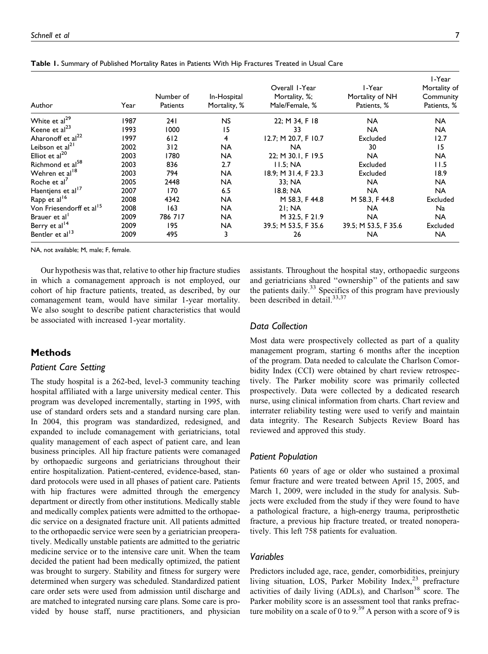| Author                               | Year | Number of<br>Patients | In-Hospital<br>Mortality, % | Overall 1-Year<br>Mortality, %;<br>Male/Female, % | I-Year<br>Mortality of NH<br>Patients, % | I-Year<br>Mortality of<br>Community<br>Patients, % |
|--------------------------------------|------|-----------------------|-----------------------------|---------------------------------------------------|------------------------------------------|----------------------------------------------------|
| White et al <sup>29</sup>            | 1987 | 241                   | <b>NS</b>                   | 22; M 34, F 18                                    | <b>NA</b>                                | <b>NA</b>                                          |
| Keene et al <sup>23</sup>            | 1993 | 1000                  | 15                          | 33                                                | <b>NA</b>                                | <b>NA</b>                                          |
| Aharonoff et al <sup>22</sup>        | 1997 | 612                   | 4                           | 12.7; M 20.7, F 10.7                              | Excluded                                 | 12.7                                               |
| Leibson et al <sup>21</sup>          | 2002 | 312                   | <b>NA</b>                   | NA.                                               | 30                                       | 15                                                 |
| Elliot et $al20$                     | 2003 | 1780                  | <b>NA</b>                   | 22; M 30.1, F 19.5                                | <b>NA</b>                                | <b>NA</b>                                          |
| Richmond et al <sup>58</sup>         | 2003 | 836                   | 2.7                         | 11.5: NA                                          | Excluded                                 | 11.5                                               |
| Wehren et al <sup>18</sup>           | 2003 | 794                   | <b>NA</b>                   | 18.9: M 31.4. F 23.3                              | Excluded                                 | 18.9                                               |
| Roche et al <sup>7</sup>             | 2005 | 2448                  | <b>NA</b>                   | 33: NA                                            | <b>NA</b>                                | <b>NA</b>                                          |
| Haentjens et al <sup>17</sup>        | 2007 | 170                   | 6.5                         | 18.8: NA                                          | <b>NA</b>                                | <b>NA</b>                                          |
| Rapp et al <sup>16</sup>             | 2008 | 4342                  | <b>NA</b>                   | M 58.3. F 44.8                                    | M 58.3, F 44.8                           | Excluded                                           |
| Von Friesendorff et al <sup>15</sup> | 2008 | 163                   | <b>NA</b>                   | 2I:NA                                             | <b>NA</b>                                | Na                                                 |
| Brauer et al'                        | 2009 | 786 717               | <b>NA</b>                   | M 32.5, F 21.9                                    | <b>NA</b>                                | <b>NA</b>                                          |
| Berry et al <sup>14</sup>            | 2009 | 195                   | NA                          | 39.5; M 53.5, F 35.6                              | 39.5; M 53.5, F 35.6                     | Excluded                                           |
| Bentler et al <sup>13</sup>          | 2009 | 495                   | 3                           | 26                                                | <b>NA</b>                                | <b>NA</b>                                          |

Table 1. Summary of Published Mortality Rates in Patients With Hip Fractures Treated in Usual Care

NA, not available; M, male; F, female.

Our hypothesis was that, relative to other hip fracture studies in which a comanagement approach is not employed, our cohort of hip fracture patients, treated, as described, by our comanagement team, would have similar 1-year mortality. We also sought to describe patient characteristics that would be associated with increased 1-year mortality.

# **Methods**

## Patient Care Setting

The study hospital is a 262-bed, level-3 community teaching hospital affiliated with a large university medical center. This program was developed incrementally, starting in 1995, with use of standard orders sets and a standard nursing care plan. In 2004, this program was standardized, redesigned, and expanded to include comanagement with geriatricians, total quality management of each aspect of patient care, and lean business principles. All hip fracture patients were comanaged by orthopaedic surgeons and geriatricians throughout their entire hospitalization. Patient-centered, evidence-based, standard protocols were used in all phases of patient care. Patients with hip fractures were admitted through the emergency department or directly from other institutions. Medically stable and medically complex patients were admitted to the orthopaedic service on a designated fracture unit. All patients admitted to the orthopaedic service were seen by a geriatrician preoperatively. Medically unstable patients are admitted to the geriatric medicine service or to the intensive care unit. When the team decided the patient had been medically optimized, the patient was brought to surgery. Stability and fitness for surgery were determined when surgery was scheduled. Standardized patient care order sets were used from admission until discharge and are matched to integrated nursing care plans. Some care is provided by house staff, nurse practitioners, and physician

assistants. Throughout the hospital stay, orthopaedic surgeons and geriatricians shared ''ownership'' of the patients and saw the patients daily. $33$  Specifics of this program have previously been described in detail.<sup>33,37</sup>

## Data Collection

Most data were prospectively collected as part of a quality management program, starting 6 months after the inception of the program. Data needed to calculate the Charlson Comorbidity Index (CCI) were obtained by chart review retrospectively. The Parker mobility score was primarily collected prospectively. Data were collected by a dedicated research nurse, using clinical information from charts. Chart review and interrater reliability testing were used to verify and maintain data integrity. The Research Subjects Review Board has reviewed and approved this study.

#### Patient Population

Patients 60 years of age or older who sustained a proximal femur fracture and were treated between April 15, 2005, and March 1, 2009, were included in the study for analysis. Subjects were excluded from the study if they were found to have a pathological fracture, a high-energy trauma, periprosthetic fracture, a previous hip fracture treated, or treated nonoperatively. This left 758 patients for evaluation.

## Variables

Predictors included age, race, gender, comorbidities, preinjury living situation, LOS, Parker Mobility Index,<sup>23</sup> prefracture activities of daily living (ADLs), and Charlson<sup>38</sup> score. The Parker mobility score is an assessment tool that ranks prefracture mobility on a scale of 0 to  $9<sup>39</sup>$  A person with a score of 9 is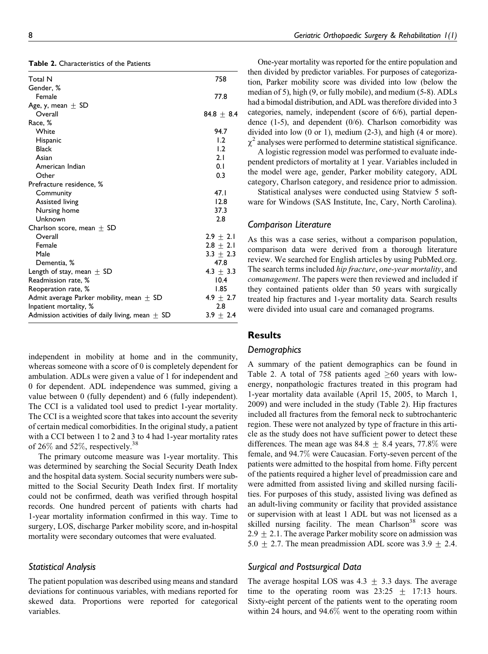| <b>Total N</b>                                      | 758           |
|-----------------------------------------------------|---------------|
| Gender, %                                           |               |
| Female                                              | 77.8          |
| Age, y, mean $\pm$ SD                               |               |
| Overall                                             | $84.8 + 8.4$  |
| Race, %                                             |               |
| White                                               | 94.7          |
| Hispanic                                            | 1.2           |
| <b>Black</b>                                        | 1.2           |
| Asian                                               | 2.1           |
| American Indian                                     | 0.1           |
| Other                                               | 0.3           |
| Prefracture residence, %                            |               |
| Community                                           | 47.1          |
| <b>Assisted living</b>                              | 12.8          |
| Nursing home                                        | 37.3          |
| Unknown                                             | 2.8           |
| Charlson score, mean $\pm$ SD                       |               |
| Overall                                             | $2.9 \pm 2.1$ |
| Female                                              | $2.8 \pm 2.1$ |
| Male                                                | $3.3 + 2.3$   |
| Dementia, %                                         | 47.8          |
| Length of stay, mean $\pm$ SD                       | $4.3 \pm 3.3$ |
| Readmission rate, %                                 | 10.4          |
| Reoperation rate, %                                 | 1.85          |
| Admit average Parker mobility, mean $\pm$ SD        | $4.9 \pm 2.7$ |
| Inpatient mortality, %                              | 2.8           |
| Admission activities of daily living, mean $\pm$ SD | $3.9 \pm 2.4$ |
|                                                     |               |

independent in mobility at home and in the community, whereas someone with a score of 0 is completely dependent for ambulation. ADLs were given a value of 1 for independent and 0 for dependent. ADL independence was summed, giving a value between 0 (fully dependent) and 6 (fully independent). The CCI is a validated tool used to predict 1-year mortality. The CCI is a weighted score that takes into account the severity of certain medical comorbidities. In the original study, a patient with a CCI between 1 to 2 and 3 to 4 had 1-year mortality rates of 26% and 52%, respectively.<sup>38</sup>

The primary outcome measure was 1-year mortality. This was determined by searching the Social Security Death Index and the hospital data system. Social security numbers were submitted to the Social Security Death Index first. If mortality could not be confirmed, death was verified through hospital records. One hundred percent of patients with charts had 1-year mortality information confirmed in this way. Time to surgery, LOS, discharge Parker mobility score, and in-hospital mortality were secondary outcomes that were evaluated.

## Statistical Analysis

The patient population was described using means and standard deviations for continuous variables, with medians reported for skewed data. Proportions were reported for categorical variables.

One-year mortality was reported for the entire population and then divided by predictor variables. For purposes of categorization, Parker mobility score was divided into low (below the median of 5), high (9, or fully mobile), and medium (5-8). ADLs had a bimodal distribution, and ADL was therefore divided into 3 categories, namely, independent (score of 6/6), partial dependence  $(1-5)$ , and dependent  $(0/6)$ . Charlson comorbidity was divided into low (0 or 1), medium (2-3), and high (4 or more).  $\chi^2$  analyses were performed to determine statistical significance.

A logistic regression model was performed to evaluate independent predictors of mortality at 1 year. Variables included in the model were age, gender, Parker mobility category, ADL category, Charlson category, and residence prior to admission.

Statistical analyses were conducted using Statview 5 software for Windows (SAS Institute, Inc, Cary, North Carolina).

#### Comparison Literature

As this was a case series, without a comparison population, comparison data were derived from a thorough literature review. We searched for English articles by using PubMed.org. The search terms included hip fracture, one-year mortality, and comanagement. The papers were then reviewed and included if they contained patients older than 50 years with surgically treated hip fractures and 1-year mortality data. Search results were divided into usual care and comanaged programs.

## Results

#### **Demographics**

A summary of the patient demographics can be found in Table 2. A total of 758 patients aged  $\geq 60$  years with lowenergy, nonpathologic fractures treated in this program had 1-year mortality data available (April 15, 2005, to March 1, 2009) and were included in the study (Table 2). Hip fractures included all fractures from the femoral neck to subtrochanteric region. These were not analyzed by type of fracture in this article as the study does not have sufficient power to detect these differences. The mean age was  $84.8 \pm 8.4$  years, 77.8% were female, and 94.7% were Caucasian. Forty-seven percent of the patients were admitted to the hospital from home. Fifty percent of the patients required a higher level of preadmission care and were admitted from assisted living and skilled nursing facilities. For purposes of this study, assisted living was defined as an adult-living community or facility that provided assistance or supervision with at least 1 ADL but was not licensed as a skilled nursing facility. The mean Charlson $38$  score was  $2.9 \pm 2.1$ . The average Parker mobility score on admission was 5.0  $\pm$  2.7. The mean preadmission ADL score was 3.9  $\pm$  2.4.

## Surgical and Postsurgical Data

The average hospital LOS was  $4.3 \pm 3.3$  days. The average time to the operating room was  $23:25 \pm 17:13$  hours. Sixty-eight percent of the patients went to the operating room within 24 hours, and 94.6% went to the operating room within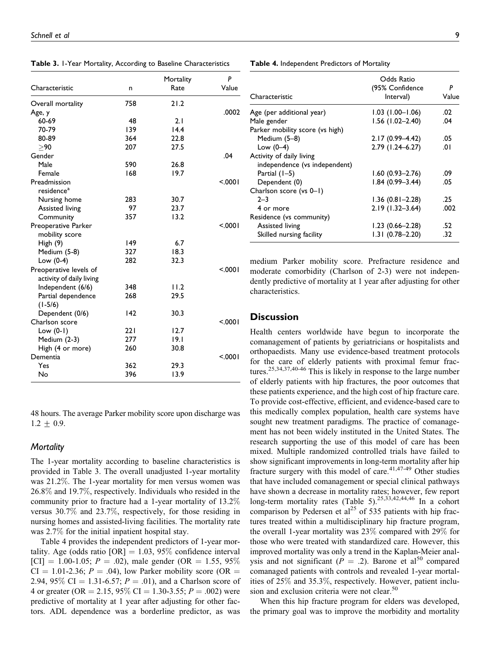Table 3. 1-Year Mortality, According to Baseline Characteristics

|                          |     | Mortality | P      |
|--------------------------|-----|-----------|--------|
| Characteristic           | n   | Rate      | Value  |
| Overall mortality        | 758 | 21.2      |        |
| Age, y                   |     |           | .0002  |
| 60-69                    | 48  | 2.1       |        |
| 70-79                    | 139 | 14.4      |        |
| 80-89                    | 364 | 22.8      |        |
| >90                      | 207 | 27.5      |        |
| Gender                   |     |           | .04    |
| Male                     | 590 | 26.8      |        |
| Female                   | 168 | 19.7      |        |
| Preadmission             |     |           | < 0001 |
| residence <sup>a</sup>   |     |           |        |
| Nursing home             | 283 | 30.7      |        |
| Assisted living          | 97  | 23.7      |        |
| Community                | 357 | 13.2      |        |
| Preoperative Parker      |     |           | < 0001 |
| mobility score           |     |           |        |
| High (9)                 | 149 | 6.7       |        |
| Medium (5-8)             | 327 | 18.3      |        |
| Low $(0-4)$              | 282 | 32.3      |        |
| Preoperative levels of   |     |           | < 0001 |
| activity of daily living |     |           |        |
| Independent (6/6)        | 348 | 11.2      |        |
| Partial dependence       | 268 | 29.5      |        |
| $(1-5/6)$                |     |           |        |
| Dependent (0/6)          | 142 | 30.3      |        |
| Charlson score           |     |           | < 0001 |
| Low $(0-1)$              | 221 | 12.7      |        |
| Medium (2-3)             | 277 | 9.1       |        |
| High (4 or more)         | 260 | 30.8      |        |
| Dementia                 |     |           | < 0001 |
| Yes                      | 362 | 29.3      |        |
| No                       | 396 | 13.9      |        |

48 hours. The average Parker mobility score upon discharge was  $1.2 \pm 0.9$ .

## **Mortality**

The 1-year mortality according to baseline characteristics is provided in Table 3. The overall unadjusted 1-year mortality was 21.2%. The 1-year mortality for men versus women was 26.8% and 19.7%, respectively. Individuals who resided in the community prior to fracture had a 1-year mortality of 13.2% versus 30.7% and 23.7%, respectively, for those residing in nursing homes and assisted-living facilities. The mortality rate was 2.7% for the initial inpatient hospital stay.

Table 4 provides the independent predictors of 1-year mortality. Age (odds ratio  $[OR] = 1.03$ , 95% confidence interval [CI] = 1.00-1.05;  $P = .02$ ), male gender (OR = 1.55, 95%)  $CI = 1.01-2.36$ ;  $P = .04$ ), low Parker mobility score (OR = 2.94, 95\% CI = 1.31-6.57;  $P = .01$ ), and a Charlson score of 4 or greater (OR = 2.15, 95% CI = 1.30-3.55;  $P = .002$ ) were predictive of mortality at 1 year after adjusting for other factors. ADL dependence was a borderline predictor, as was

| Characteristic                  | Odds Ratio<br>(95% Confidence<br>Interval) | P<br>Value |
|---------------------------------|--------------------------------------------|------------|
| Age (per additional year)       | $1.03$ $(1.00 - 1.06)$                     | .02        |
| Male gender                     | $1.56$ (1.02-2.40)                         | .04        |
| Parker mobility score (vs high) |                                            |            |
| Medium (5-8)                    | $2.17(0.99 - 4.42)$                        | .05        |
| Low $(0-4)$                     | 2.79 (1.24-6.27)                           | .01        |
| Activity of daily living        |                                            |            |
| independence (vs independent)   |                                            |            |
| Partial $(1-5)$                 | $1.60(0.93 - 2.76)$                        | .09        |
| Dependent (0)                   | $1.84(0.99 - 3.44)$                        | .05        |
| Charlson score (vs 0-1)         |                                            |            |
| $2 - 3$                         | $1.36(0.81 - 2.28)$                        | .25        |
| 4 or more                       | $2.19(1.32 - 3.64)$                        | .002       |
| Residence (vs community)        |                                            |            |
| <b>Assisted living</b>          | $1.23(0.66 - 2.28)$                        | .52        |
| Skilled nursing facility        | $1.31(0.78 - 2.20)$                        | .32        |

medium Parker mobility score. Prefracture residence and moderate comorbidity (Charlson of 2-3) were not independently predictive of mortality at 1 year after adjusting for other characteristics.

## **Discussion**

Health centers worldwide have begun to incorporate the comanagement of patients by geriatricians or hospitalists and orthopaedists. Many use evidence-based treatment protocols for the care of elderly patients with proximal femur fractures.25,34,37,40-46 This is likely in response to the large number of elderly patients with hip fractures, the poor outcomes that these patients experience, and the high cost of hip fracture care. To provide cost-effective, efficient, and evidence-based care to this medically complex population, health care systems have sought new treatment paradigms. The practice of comanagement has not been widely instituted in the United States. The research supporting the use of this model of care has been mixed. Multiple randomized controlled trials have failed to show significant improvements in long-term mortality after hip fracture surgery with this model of care.41,47-49 Other studies that have included comanagement or special clinical pathways have shown a decrease in mortality rates; however, few report long-term mortality rates (Table 5).<sup>25,33,42,44,46</sup> In a cohort comparison by Pedersen et al<sup>25</sup> of 535 patients with hip fractures treated within a multidisciplinary hip fracture program, the overall 1-year mortality was 23% compared with 29% for those who were treated with standardized care. However, this improved mortality was only a trend in the Kaplan-Meier analysis and not significant ( $P = .2$ ). Barone et al<sup>50</sup> compared comanaged patients with controls and revealed 1-year mortalities of 25% and 35.3%, respectively. However, patient inclusion and exclusion criteria were not clear.<sup>50</sup>

When this hip fracture program for elders was developed, the primary goal was to improve the morbidity and mortality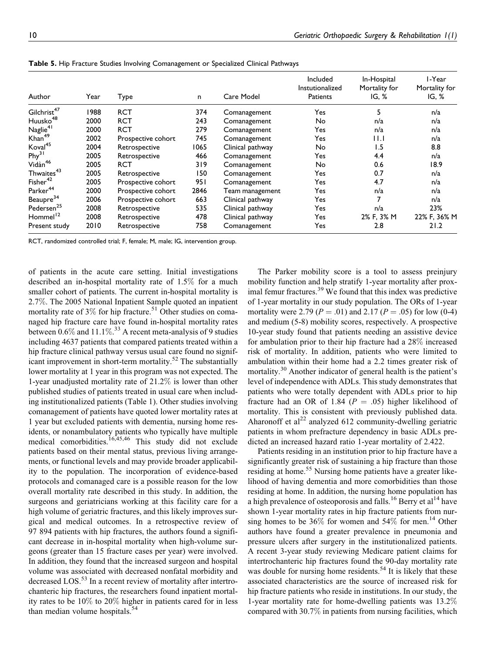|                         |      |                    |      |                  | Included<br>Instutionalized | In-Hospital<br>Mortality for | l-Year<br>Mortality for |
|-------------------------|------|--------------------|------|------------------|-----------------------------|------------------------------|-------------------------|
| Author                  | Year | Type               | n.   | Care Model       | Patients                    | IG, %                        | IG, %                   |
| Gilchrist <sup>47</sup> | 1988 | <b>RCT</b>         | 374  | Comanagement     | Yes                         |                              | n/a                     |
| Huusko <sup>48</sup>    | 2000 | <b>RCT</b>         | 243  | Comanagement     | No                          | n/a                          | n/a                     |
| $N$ aglie <sup>41</sup> | 2000 | <b>RCT</b>         | 279  | Comanagement     | Yes                         | n/a                          | n/a                     |
| Khan <sup>49</sup>      | 2002 | Prospective cohort | 745  | Comanagement     | Yes                         | 11.1                         | n/a                     |
| Koval <sup>45</sup>     | 2004 | Retrospective      | 1065 | Clinical pathway | No                          | 1.5                          | 8.8                     |
| Phy <sup>31</sup>       | 2005 | Retrospective      | 466  | Comanagement     | Yes                         | 4.4                          | n/a                     |
| Vidàn <sup>46</sup>     | 2005 | <b>RCT</b>         | 319  | Comanagement     | No                          | 0.6                          | 18.9                    |
| Thwaites <sup>43</sup>  | 2005 | Retrospective      | 150  | Comanagement     | Yes                         | 0.7                          | n/a                     |
| $Fisher^{42}$           | 2005 | Prospective cohort | 951  | Comanagement     | Yes                         | 4.7                          | n/a                     |
| Parker <sup>44</sup>    | 2000 | Prospective cohort | 2846 | Team management  | Yes                         | n/a                          | n/a                     |
| Beaupre <sup>34</sup>   | 2006 | Prospective cohort | 663  | Clinical pathway | Yes                         |                              | n/a                     |
| Pedersen <sup>25</sup>  | 2008 | Retrospective      | 535  | Clinical pathway | Yes                         | n/a                          | 23%                     |
| Hommel <sup>12</sup>    | 2008 | Retrospective      | 478  | Clinical pathway | Yes                         | 2% F, 3% M                   | 22% F, 36% M            |
| Present study           | 2010 | Retrospective      | 758  | Comanagement     | Yes                         | 2.8                          | 21.2                    |

Table 5. Hip Fracture Studies Involving Comanagement or Specialized Clinical Pathways

RCT, randomized controlled trial; F, female; M, male; IG, intervention group.

of patients in the acute care setting. Initial investigations described an in-hospital mortality rate of 1.5% for a much smaller cohort of patients. The current in-hospital mortality is 2.7%. The 2005 National Inpatient Sample quoted an inpatient mortality rate of  $3\%$  for hip fracture.<sup>51</sup> Other studies on comanaged hip fracture care have found in-hospital mortality rates between  $0.6\%$  and  $11.1\%$ .<sup>33</sup> A recent meta-analysis of 9 studies including 4637 patients that compared patients treated within a hip fracture clinical pathway versus usual care found no significant improvement in short-term mortality.<sup>52</sup> The substantially lower mortality at 1 year in this program was not expected. The 1-year unadjusted mortality rate of 21.2% is lower than other published studies of patients treated in usual care when including institutionalized patients (Table 1). Other studies involving comanagement of patients have quoted lower mortality rates at 1 year but excluded patients with dementia, nursing home residents, or nonambulatory patients who typically have multiple medical comorbidities.<sup>16,45,46</sup> This study did not exclude patients based on their mental status, previous living arrangements, or functional levels and may provide broader applicability to the population. The incorporation of evidence-based protocols and comanaged care is a possible reason for the low overall mortality rate described in this study. In addition, the surgeons and geriatricians working at this facility care for a high volume of geriatric fractures, and this likely improves surgical and medical outcomes. In a retrospective review of 97 894 patients with hip fractures, the authors found a significant decrease in in-hospital mortality when high-volume surgeons (greater than 15 fracture cases per year) were involved. In addition, they found that the increased surgeon and hospital volume was associated with decreased nonfatal morbidity and decreased LOS.<sup>53</sup> In a recent review of mortality after intertrochanteric hip fractures, the researchers found inpatient mortality rates to be 10% to 20% higher in patients cared for in less than median volume hospitals. $54$ 

The Parker mobility score is a tool to assess preinjury mobility function and help stratify 1-year mortality after proximal femur fractures.<sup>39</sup> We found that this index was predictive of 1-year mortality in our study population. The ORs of 1-year mortality were 2.79 ( $P = .01$ ) and 2.17 ( $P = .05$ ) for low (0-4) and medium (5-8) mobility scores, respectively. A prospective 10-year study found that patients needing an assistive device for ambulation prior to their hip fracture had a 28% increased risk of mortality. In addition, patients who were limited to ambulation within their home had a 2.2 times greater risk of mortality.<sup>30</sup> Another indicator of general health is the patient's level of independence with ADLs. This study demonstrates that patients who were totally dependent with ADLs prior to hip fracture had an OR of 1.84 ( $P = .05$ ) higher likelihood of mortality. This is consistent with previously published data. Aharonoff et  $al^{22}$  analyzed 612 community-dwelling geriatric patients in whom prefracture dependency in basic ADLs predicted an increased hazard ratio 1-year mortality of 2.422.

Patients residing in an institution prior to hip fracture have a significantly greater risk of sustaining a hip fracture than those residing at home.<sup>55</sup> Nursing home patients have a greater likelihood of having dementia and more comorbidities than those residing at home. In addition, the nursing home population has a high prevalence of osteoporosis and falls.<sup>16</sup> Berry et al<sup>14</sup> have shown 1-year mortality rates in hip fracture patients from nursing homes to be  $36\%$  for women and  $54\%$  for men.<sup>14</sup> Other authors have found a greater prevalence in pneumonia and pressure ulcers after surgery in the institutionalized patients. A recent 3-year study reviewing Medicare patient claims for intertrochanteric hip fractures found the 90-day mortality rate was double for nursing home residents.<sup>54</sup> It is likely that these associated characteristics are the source of increased risk for hip fracture patients who reside in institutions. In our study, the 1-year mortality rate for home-dwelling patients was 13.2% compared with 30.7% in patients from nursing facilities, which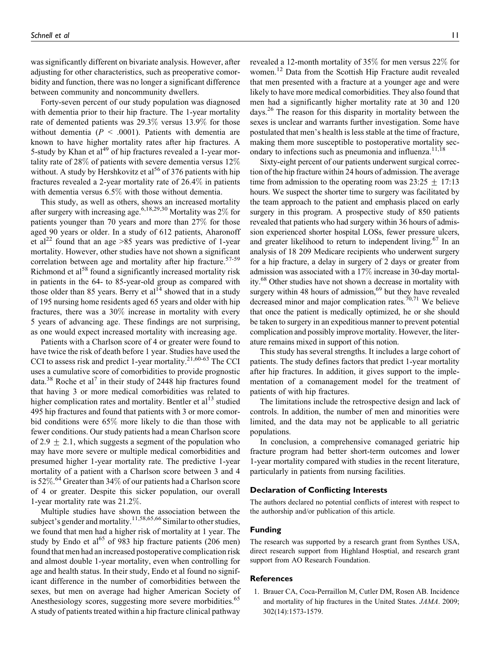was significantly different on bivariate analysis. However, after adjusting for other characteristics, such as preoperative comorbidity and function, there was no longer a significant difference between community and noncommunity dwellers.

Forty-seven percent of our study population was diagnosed with dementia prior to their hip fracture. The 1-year mortality rate of demented patients was 29.3% versus 13.9% for those without dementia ( $P < .0001$ ). Patients with dementia are known to have higher mortality rates after hip fractures. A 5-study by Khan et al<sup>49</sup> of hip fractures revealed a 1-year mortality rate of 28% of patients with severe dementia versus 12% without. A study by Hershkovitz et al<sup>56</sup> of 376 patients with hip fractures revealed a 2-year mortality rate of 26.4% in patients with dementia versus 6.5% with those without dementia.

This study, as well as others, shows an increased mortality after surgery with increasing age.6,18,29,30 Mortality was 2% for patients younger than 70 years and more than 27% for those aged 90 years or older. In a study of 612 patients, Aharonoff et al<sup>22</sup> found that an age  $>85$  years was predictive of 1-year mortality. However, other studies have not shown a significant correlation between age and mortality after hip fracture.<sup>57-59</sup> Richmond et  $a<sup>58</sup>$  found a significantly increased mortality risk in patients in the 64- to 85-year-old group as compared with those older than 85 years. Berry et  $al<sup>14</sup>$  showed that in a study of 195 nursing home residents aged 65 years and older with hip fractures, there was a 30% increase in mortality with every 5 years of advancing age. These findings are not surprising, as one would expect increased mortality with increasing age.

Patients with a Charlson score of 4 or greater were found to have twice the risk of death before 1 year. Studies have used the CCI to assess risk and predict 1-year mortality.<sup>21,60-63</sup> The CCI uses a cumulative score of comorbidities to provide prognostic data.<sup>38</sup> Roche et al<sup>7</sup> in their study of 2448 hip fractures found that having 3 or more medical comorbidities was related to higher complication rates and mortality. Bentler et  $al<sup>13</sup>$  studied 495 hip fractures and found that patients with 3 or more comorbid conditions were 65% more likely to die than those with fewer conditions. Our study patients had a mean Charlson score of 2.9  $\pm$  2.1, which suggests a segment of the population who may have more severe or multiple medical comorbidities and presumed higher 1-year mortality rate. The predictive 1-year mortality of a patient with a Charlson score between 3 and 4 is 52%.<sup>64</sup> Greater than 34% of our patients had a Charlson score of 4 or greater. Despite this sicker population, our overall 1-year mortality rate was 21.2%.

Multiple studies have shown the association between the subject's gender and mortality.<sup>11,58,65,66</sup> Similar to other studies, we found that men had a higher risk of mortality at 1 year. The study by Endo et al<sup>65</sup> of 983 hip fracture patients (206 men) found that men had an increased postoperative complication risk and almost double 1-year mortality, even when controlling for age and health status. In their study, Endo et al found no significant difference in the number of comorbidities between the sexes, but men on average had higher American Society of Anesthesiology scores, suggesting more severe morbidities.<sup>65</sup> A study of patients treated within a hip fracture clinical pathway

revealed a 12-month mortality of 35% for men versus 22% for women.<sup>12</sup> Data from the Scottish Hip Fracture audit revealed that men presented with a fracture at a younger age and were likely to have more medical comorbidities. They also found that men had a significantly higher mortality rate at 30 and 120 days.<sup>26</sup> The reason for this disparity in mortality between the sexes is unclear and warrants further investigation. Some have postulated that men's health is less stable at the time of fracture, making them more susceptible to postoperative mortality secondary to infections such as pneumonia and influenza.<sup>11,18</sup>

Sixty-eight percent of our patients underwent surgical correction of the hip fracture within 24 hours of admission. The average time from admission to the operating room was  $23:25 \pm 17:13$ hours. We suspect the shorter time to surgery was facilitated by the team approach to the patient and emphasis placed on early surgery in this program. A prospective study of 850 patients revealed that patients who had surgery within 36 hours of admission experienced shorter hospital LOSs, fewer pressure ulcers, and greater likelihood to return to independent living.<sup>67</sup> In an analysis of 18 209 Medicare recipients who underwent surgery for a hip fracture, a delay in surgery of 2 days or greater from admission was associated with a 17% increase in 30-day mortality.68 Other studies have not shown a decrease in mortality with surgery within 48 hours of admission, $69$  but they have revealed decreased minor and major complication rates.<sup> $70,71$ </sup> We believe that once the patient is medically optimized, he or she should be taken to surgery in an expeditious manner to prevent potential complication and possibly improve mortality. However, the literature remains mixed in support of this notion.

This study has several strengths. It includes a large cohort of patients. The study defines factors that predict 1-year mortality after hip fractures. In addition, it gives support to the implementation of a comanagement model for the treatment of patients of with hip fractures.

The limitations include the retrospective design and lack of controls. In addition, the number of men and minorities were limited, and the data may not be applicable to all geriatric populations.

In conclusion, a comprehensive comanaged geriatric hip fracture program had better short-term outcomes and lower 1-year mortality compared with studies in the recent literature, particularly in patients from nursing facilities.

### Declaration of Conflicting Interests

The authors declared no potential conflicts of interest with respect to the authorship and/or publication of this article.

#### Funding

The research was supported by a research grant from Synthes USA, direct research support from Highland Hosptial, and research grant support from AO Research Foundation.

#### References

1. Brauer CA, Coca-Perraillon M, Cutler DM, Rosen AB. Incidence and mortality of hip fractures in the United States. JAMA. 2009; 302(14):1573-1579.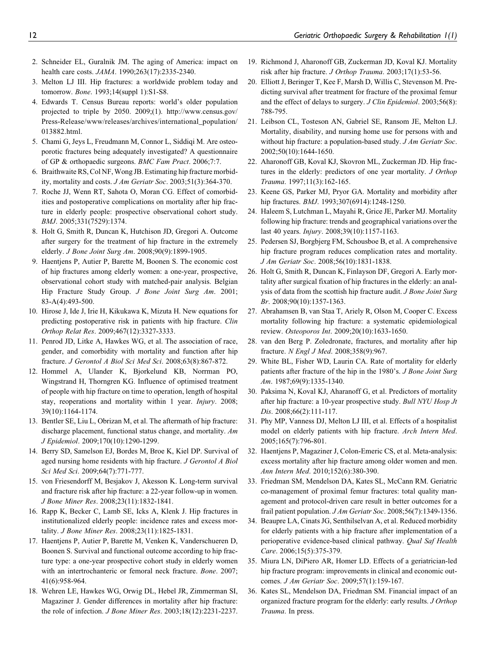- 2. Schneider EL, Guralnik JM. The aging of America: impact on health care costs. JAMA. 1990;263(17):2335-2340.
- 3. Melton LJ III. Hip fractures: a worldwide problem today and tomorrow. Bone. 1993;14(suppl 1):S1-S8.
- 4. Edwards T. Census Bureau reports: world's older population projected to triple by 2050. 2009;(1). http://www.census.gov/ Press-Release/www/releases/archives/international\_population/ 013882.html.
- 5. Chami G, Jeys L, Freudmann M, Connor L, Siddiqi M. Are osteoporotic fractures being adequately investigated? A questionnaire of GP & orthopaedic surgeons. BMC Fam Pract. 2006;7:7.
- 6. Braithwaite RS, Col NF,Wong JB. Estimating hip fracture morbidity, mortality and costs. J Am Geriatr Soc. 2003;51(3):364-370.
- 7. Roche JJ, Wenn RT, Sahota O, Moran CG. Effect of comorbidities and postoperative complications on mortality after hip fracture in elderly people: prospective observational cohort study. BMJ. 2005;331(7529):1374.
- 8. Holt G, Smith R, Duncan K, Hutchison JD, Gregori A. Outcome after surgery for the treatment of hip fracture in the extremely elderly. J Bone Joint Surg Am. 2008;90(9):1899-1905.
- 9. Haentjens P, Autier P, Barette M, Boonen S. The economic cost of hip fractures among elderly women: a one-year, prospective, observational cohort study with matched-pair analysis. Belgian Hip Fracture Study Group. J Bone Joint Surg Am. 2001; 83-A(4):493-500.
- 10. Hirose J, Ide J, Irie H, Kikukawa K, Mizuta H. New equations for predicting postoperative risk in patients with hip fracture. Clin Orthop Relat Res. 2009;467(12):3327-3333.
- 11. Penrod JD, Litke A, Hawkes WG, et al. The association of race, gender, and comorbidity with mortality and function after hip fracture. J Gerontol A Biol Sci Med Sci. 2008;63(8):867-872.
- 12. Hommel A, Ulander K, Bjorkelund KB, Norrman PO, Wingstrand H, Thorngren KG. Influence of optimised treatment of people with hip fracture on time to operation, length of hospital stay, reoperations and mortality within 1 year. Injury. 2008; 39(10):1164-1174.
- 13. Bentler SE, Liu L, Obrizan M, et al. The aftermath of hip fracture: discharge placement, functional status change, and mortality. Am J Epidemiol. 2009;170(10):1290-1299.
- 14. Berry SD, Samelson EJ, Bordes M, Broe K, Kiel DP. Survival of aged nursing home residents with hip fracture. J Gerontol A Biol Sci Med Sci. 2009;64(7):771-777.
- 15. von Friesendorff M, Besjakov J, Akesson K. Long-term survival and fracture risk after hip fracture: a 22-year follow-up in women. J Bone Miner Res. 2008;23(11):1832-1841.
- 16. Rapp K, Becker C, Lamb SE, Icks A, Klenk J. Hip fractures in institutionalized elderly people: incidence rates and excess mortality. J Bone Miner Res. 2008;23(11):1825-1831.
- 17. Haentjens P, Autier P, Barette M, Venken K, Vanderschueren D, Boonen S. Survival and functional outcome according to hip fracture type: a one-year prospective cohort study in elderly women with an intertrochanteric or femoral neck fracture. Bone. 2007; 41(6):958-964.
- 18. Wehren LE, Hawkes WG, Orwig DL, Hebel JR, Zimmerman SI, Magaziner J. Gender differences in mortality after hip fracture: the role of infection. J Bone Miner Res. 2003;18(12):2231-2237.
- 19. Richmond J, Aharonoff GB, Zuckerman JD, Koval KJ. Mortality risk after hip fracture. J Orthop Trauma. 2003;17(1):53-56.
- 20. Elliott J, Beringer T, Kee F, Marsh D, Willis C, Stevenson M. Predicting survival after treatment for fracture of the proximal femur and the effect of delays to surgery. J Clin Epidemiol. 2003;56(8): 788-795.
- 21. Leibson CL, Tosteson AN, Gabriel SE, Ransom JE, Melton LJ. Mortality, disability, and nursing home use for persons with and without hip fracture: a population-based study. J Am Geriatr Soc. 2002;50(10):1644-1650.
- 22. Aharonoff GB, Koval KJ, Skovron ML, Zuckerman JD. Hip fractures in the elderly: predictors of one year mortality. J Orthop Trauma. 1997;11(3):162-165.
- 23. Keene GS, Parker MJ, Pryor GA. Mortality and morbidity after hip fractures. *BMJ*. 1993;307(6914):1248-1250.
- 24. Haleem S, Lutchman L, Mayahi R, Grice JE, Parker MJ. Mortality following hip fracture: trends and geographical variations over the last 40 years. Injury. 2008;39(10):1157-1163.
- 25. Pedersen SJ, Borgbjerg FM, Schousboe B, et al. A comprehensive hip fracture program reduces complication rates and mortality. J Am Geriatr Soc. 2008;56(10):1831-1838.
- 26. Holt G, Smith R, Duncan K, Finlayson DF, Gregori A. Early mortality after surgical fixation of hip fractures in the elderly: an analysis of data from the scottish hip fracture audit. J Bone Joint Surg Br. 2008;90(10):1357-1363.
- 27. Abrahamsen B, van Staa T, Ariely R, Olson M, Cooper C. Excess mortality following hip fracture: a systematic epidemiological review. Osteoporos Int. 2009;20(10):1633-1650.
- 28. van den Berg P. Zoledronate, fractures, and mortality after hip fracture. N Engl J Med. 2008;358(9):967.
- 29. White BL, Fisher WD, Laurin CA. Rate of mortality for elderly patients after fracture of the hip in the 1980's. J Bone Joint Surg Am. 1987;69(9):1335-1340.
- 30. Paksima N, Koval KJ, Aharanoff G, et al. Predictors of mortality after hip fracture: a 10-year prospective study. Bull NYU Hosp Jt Dis. 2008;66(2):111-117.
- 31. Phy MP, Vanness DJ, Melton LJ III, et al. Effects of a hospitalist model on elderly patients with hip fracture. Arch Intern Med. 2005;165(7):796-801.
- 32. Haentjens P, Magaziner J, Colon-Emeric CS, et al. Meta-analysis: excess mortality after hip fracture among older women and men. Ann Intern Med. 2010;152(6):380-390.
- 33. Friedman SM, Mendelson DA, Kates SL, McCann RM. Geriatric co-management of proximal femur fractures: total quality management and protocol-driven care result in better outcomes for a frail patient population. J Am Geriatr Soc. 2008;56(7):1349-1356.
- 34. Beaupre LA, Cinats JG, Senthilselvan A, et al. Reduced morbidity for elderly patients with a hip fracture after implementation of a perioperative evidence-based clinical pathway. Qual Saf Health Care. 2006;15(5):375-379.
- 35. Miura LN, DiPiero AR, Homer LD. Effects of a geriatrician-led hip fracture program: improvements in clinical and economic outcomes. J Am Geriatr Soc. 2009;57(1):159-167.
- 36. Kates SL, Mendelson DA, Friedman SM. Financial impact of an organized fracture program for the elderly: early results. J Orthop Trauma. In press.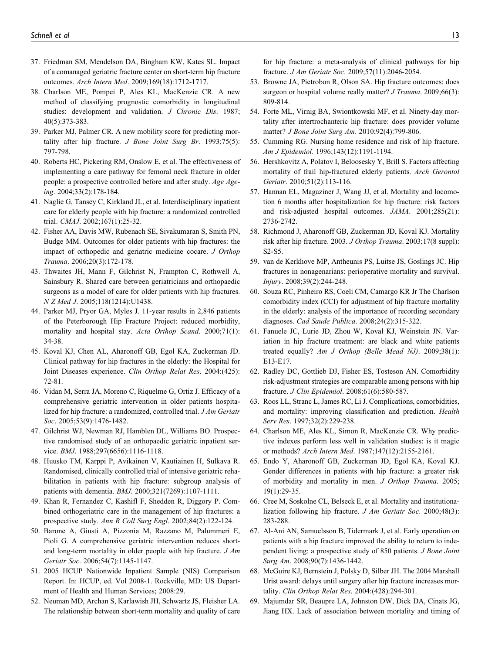- 37. Friedman SM, Mendelson DA, Bingham KW, Kates SL. Impact of a comanaged geriatric fracture center on short-term hip fracture outcomes. Arch Intern Med. 2009;169(18):1712-1717.
- 38. Charlson ME, Pompei P, Ales KL, MacKenzie CR. A new method of classifying prognostic comorbidity in longitudinal studies: development and validation. J Chronic Dis. 1987; 40(5):373-383.
- 39. Parker MJ, Palmer CR. A new mobility score for predicting mortality after hip fracture.  $J$  Bone Joint Surg Br. 1993;75(5): 797-798.
- 40. Roberts HC, Pickering RM, Onslow E, et al. The effectiveness of implementing a care pathway for femoral neck fracture in older people: a prospective controlled before and after study. Age Ageing. 2004;33(2):178-184.
- 41. Naglie G, Tansey C, Kirkland JL, et al. Interdisciplinary inpatient care for elderly people with hip fracture: a randomized controlled trial. CMAJ. 2002;167(1):25-32.
- 42. Fisher AA, Davis MW, Rubenach SE, Sivakumaran S, Smith PN, Budge MM. Outcomes for older patients with hip fractures: the impact of orthopedic and geriatric medicine cocare. J Orthop Trauma. 2006;20(3):172-178.
- 43. Thwaites JH, Mann F, Gilchrist N, Frampton C, Rothwell A, Sainsbury R. Shared care between geriatricians and orthopaedic surgeons as a model of care for older patients with hip fractures. N Z Med J. 2005;118(1214):U1438.
- 44. Parker MJ, Pryor GA, Myles J. 11-year results in 2,846 patients of the Peterborough Hip Fracture Project: reduced morbidity, mortality and hospital stay. Acta Orthop Scand. 2000;71(1): 34-38.
- 45. Koval KJ, Chen AL, Aharonoff GB, Egol KA, Zuckerman JD. Clinical pathway for hip fractures in the elderly: the Hospital for Joint Diseases experience. Clin Orthop Relat Res. 2004:(425): 72-81.
- 46. Vidan M, Serra JA, Moreno C, Riquelme G, Ortiz J. Efficacy of a comprehensive geriatric intervention in older patients hospitalized for hip fracture: a randomized, controlled trial. J Am Geriatr Soc. 2005;53(9):1476-1482.
- 47. Gilchrist WJ, Newman RJ, Hamblen DL, Williams BO. Prospective randomised study of an orthopaedic geriatric inpatient service. BMJ. 1988;297(6656):1116-1118.
- 48. Huusko TM, Karppi P, Avikainen V, Kautiainen H, Sulkava R. Randomised, clinically controlled trial of intensive geriatric rehabilitation in patients with hip fracture: subgroup analysis of patients with dementia. BMJ. 2000;321(7269):1107-1111.
- 49. Khan R, Fernandez C, Kashifl F, Shedden R, Diggory P. Combined orthogeriatric care in the management of hip fractures: a prospective study. Ann R Coll Surg Engl. 2002;84(2):122-124.
- 50. Barone A, Giusti A, Pizzonia M, Razzano M, Palummeri E, Pioli G. A comprehensive geriatric intervention reduces shortand long-term mortality in older people with hip fracture. J Am Geriatr Soc. 2006;54(7):1145-1147.
- 51. 2005 HCUP Nationwide Inpatient Sample (NIS) Comparison Report. In: HCUP, ed. Vol 2008-1. Rockville, MD: US Department of Health and Human Services; 2008:29.
- 52. Neuman MD, Archan S, Karlawish JH, Schwartz JS, Fleisher LA. The relationship between short-term mortality and quality of care

for hip fracture: a meta-analysis of clinical pathways for hip fracture. J Am Geriatr Soc. 2009;57(11):2046-2054.

- 53. Browne JA, Pietrobon R, Olson SA. Hip fracture outcomes: does surgeon or hospital volume really matter? *J Trauma*. 2009;66(3): 809-814.
- 54. Forte ML, Virnig BA, Swiontkowski MF, et al. Ninety-day mortality after intertrochanteric hip fracture: does provider volume matter? J Bone Joint Surg Am. 2010;92(4):799-806.
- 55. Cumming RG. Nursing home residence and risk of hip fracture. Am J Epidemiol. 1996;143(12):1191-1194.
- 56. Hershkovitz A, Polatov I, Beloosesky Y, Brill S. Factors affecting mortality of frail hip-fractured elderly patients. Arch Gerontol Geriatr. 2010;51(2):113-116.
- 57. Hannan EL, Magaziner J, Wang JJ, et al. Mortality and locomotion 6 months after hospitalization for hip fracture: risk factors and risk-adjusted hospital outcomes. JAMA. 2001;285(21): 2736-2742.
- 58. Richmond J, Aharonoff GB, Zuckerman JD, Koval KJ. Mortality risk after hip fracture. 2003. J Orthop Trauma. 2003;17(8 suppl): S2-S5.
- 59. van de Kerkhove MP, Antheunis PS, Luitse JS, Goslings JC. Hip fractures in nonagenarians: perioperative mortality and survival. Injury. 2008;39(2):244-248.
- 60. Souza RC, Pinheiro RS, Coeli CM, Camargo KR Jr The Charlson comorbidity index (CCI) for adjustment of hip fracture mortality in the elderly: analysis of the importance of recording secondary diagnoses. Cad Saude Publica. 2008;24(2):315-322.
- 61. Fanuele JC, Lurie JD, Zhou W, Koval KJ, Weinstein JN. Variation in hip fracture treatment: are black and white patients treated equally? Am J Orthop (Belle Mead NJ). 2009;38(1): E13-E17.
- 62. Radley DC, Gottlieb DJ, Fisher ES, Tosteson AN. Comorbidity risk-adjustment strategies are comparable among persons with hip fracture. J Clin Epidemiol. 2008;61(6):580-587.
- 63. Roos LL, Stranc L, James RC, Li J. Complications, comorbidities, and mortality: improving classification and prediction. Health Serv Res. 1997;32(2):229-238.
- 64. Charlson ME, Ales KL, Simon R, MacKenzie CR. Why predictive indexes perform less well in validation studies: is it magic or methods? Arch Intern Med. 1987;147(12):2155-2161.
- 65. Endo Y, Aharonoff GB, Zuckerman JD, Egol KA, Koval KJ. Gender differences in patients with hip fracture: a greater risk of morbidity and mortality in men. J Orthop Trauma. 2005; 19(1):29-35.
- 66. Cree M, Soskolne CL, Belseck E, et al. Mortality and institutionalization following hip fracture. J Am Geriatr Soc. 2000;48(3): 283-288.
- 67. Al-Ani AN, Samuelsson B, Tidermark J, et al. Early operation on patients with a hip fracture improved the ability to return to independent living: a prospective study of 850 patients. J Bone Joint Surg Am. 2008;90(7):1436-1442.
- 68. McGuire KJ, Bernstein J, Polsky D, Silber JH. The 2004 Marshall Urist award: delays until surgery after hip fracture increases mortality. Clin Orthop Relat Res. 2004:(428):294-301.
- 69. Majumdar SR, Beaupre LA, Johnston DW, Dick DA, Cinats JG, Jiang HX. Lack of association between mortality and timing of